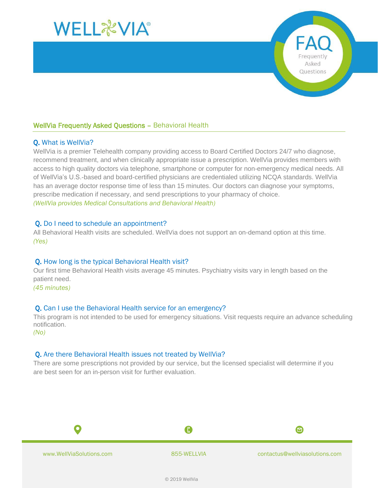

# WellVia Frequently Asked Questions – Behavioral Health

### Q. What is WellVia?

WellVia is a premier Telehealth company providing access to Board Certified Doctors 24/7 who diagnose, recommend treatment, and when clinically appropriate issue a prescription. WellVia provides members with access to high quality doctors via telephone, smartphone or computer for non-emergency medical needs. All of WellVia's U.S.-based and board-certified physicians are credentialed utilizing NCQA standards. WellVia has an average doctor response time of less than 15 minutes. Our doctors can diagnose your symptoms, prescribe medication if necessary, and send prescriptions to your pharmacy of choice. *(WellVia provides Medical Consultations and Behavioral Health)*

#### Q. Do I need to schedule an appointment?

All Behavioral Health visits are scheduled. WellVia does not support an on-demand option at this time. *(Yes)*

#### Q. How long is the typical Behavioral Health visit?

Our first time Behavioral Health visits average 45 minutes. Psychiatry visits vary in length based on the patient need.

*(45 minutes)*

#### Q. Can I use the Behavioral Health service for an emergency?

This program is not intended to be used for emergency situations. Visit requests require an advance scheduling notification.

*(No)*

## Q. Are there Behavioral Health issues not treated by WellVia?

There are some prescriptions not provided by our service, but the licensed specialist will determine if you are best seen for an in-person visit for further evaluation.

A

www.WellViaSolutions.com **855-WELLVIA** contactus@wellviasolutions.com

0

Frequently Asked Questions